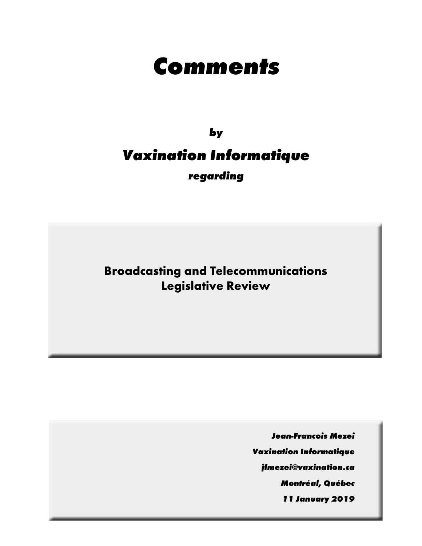# **Comments**

## **by Vaxination Informatique regarding**

**Broadcasting and Telecommunications Legislative Review**

**Jean-Francois Mezei**

**Vaxination Informatique**

**jfmezei@vaxination.ca**

**Montréal, Québec**

**11 January 2019**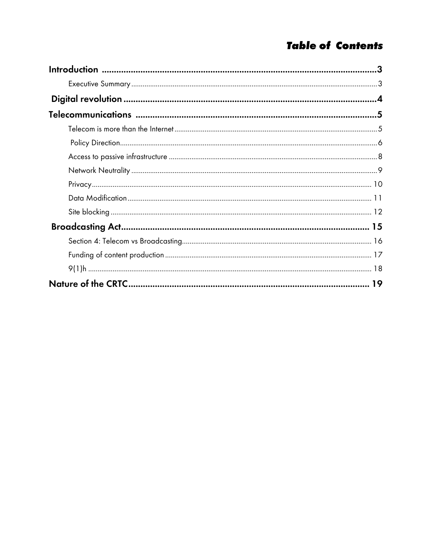## **Table of Contents**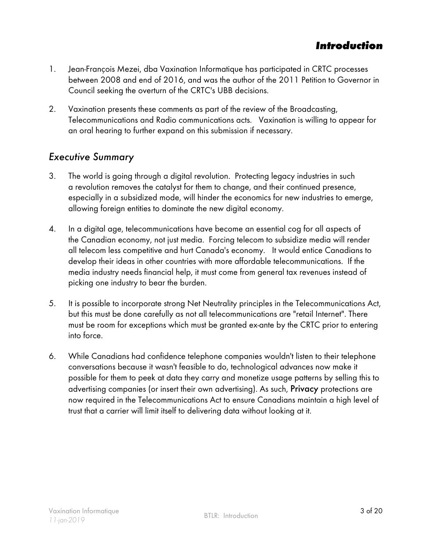#### **Introduction**

- <span id="page-2-0"></span>1. Jean-François Mezei, dba Vaxination Informatique has participated in CRTC processes between 2008 and end of 2016, and was the author of the 2011 Petition to Governor in Council seeking the overturn of the CRTC's UBB decisions.
- 2. Vaxination presents these comments as part of the review of the Broadcasting, Telecommunications and Radio communications acts. Vaxination is willing to appear for an oral hearing to further expand on this submission if necessary.

#### Executive Summary

- 3. The world is going through a digital revolution. Protecting legacy industries in such a revolution removes the catalyst for them to change, and their continued presence, especially in a subsidized mode, will hinder the economics for new industries to emerge, allowing foreign entities to dominate the new digital economy.
- 4. In a digital age, telecommunications have become an essential cog for all aspects of the Canadian economy, not just media. Forcing telecom to subsidize media will render all telecom less competitive and hurt Canada's economy. It would entice Canadians to develop their ideas in other countries with more affordable telecommunications. If the media industry needs financial help, it must come from general tax revenues instead of picking one industry to bear the burden.
- 5. It is possible to incorporate strong Net Neutrality principles in the Telecommunications Act, but this must be done carefully as not all telecommunications are "retail Internet". There must be room for exceptions which must be granted ex-ante by the CRTC prior to entering into force.
- 6. While Canadians had confidence telephone companies wouldn't listen to their telephone conversations because it wasn't feasible to do, technological advances now make it possible for them to peek at data they carry and monetize usage patterns by selling this to advertising companies (or insert their own advertising). As such, Privacy protections are now required in the Telecommunications Act to ensure Canadians maintain a high level of trust that a carrier will limit itself to delivering data without looking at it.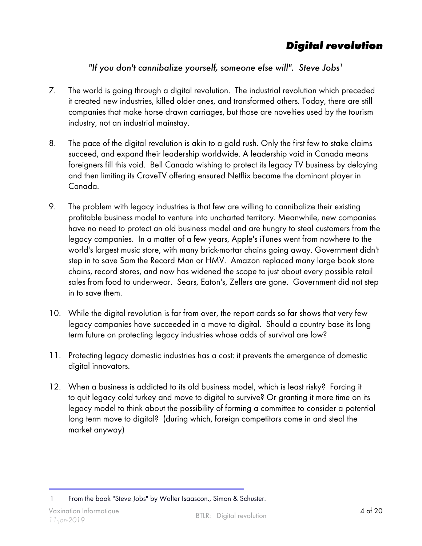## **Digital revolution**

#### "If you don't cannibalize yourself, someone else will". Steve Jobs<sup>1</sup>

- <span id="page-3-0"></span>7. The world is going through a digital revolution. The industrial revolution which preceded it created new industries, killed older ones, and transformed others. Today, there are still companies that make horse drawn carriages, but those are novelties used by the tourism industry, not an industrial mainstay.
- 8. The pace of the digital revolution is akin to a gold rush. Only the first few to stake claims succeed, and expand their leadership worldwide. A leadership void in Canada means foreigners fill this void. Bell Canada wishing to protect its legacy TV business by delaying and then limiting its CraveTV offering ensured Netflix became the dominant player in Canada.
- 9. The problem with legacy industries is that few are willing to cannibalize their existing profitable business model to venture into uncharted territory. Meanwhile, new companies have no need to protect an old business model and are hungry to steal customers from the legacy companies. In a matter of a few years, Apple's iTunes went from nowhere to the world's largest music store, with many brick-mortar chains going away. Government didn't step in to save Sam the Record Man or HMV. Amazon replaced many large book store chains, record stores, and now has widened the scope to just about every possible retail sales from food to underwear. Sears, Eaton's, Zellers are gone. Government did not step in to save them.
- 10. While the digital revolution is far from over, the report cards so far shows that very few legacy companies have succeeded in a move to digital. Should a country base its long term future on protecting legacy industries whose odds of survival are low?
- 11. Protecting legacy domestic industries has a cost: it prevents the emergence of domestic digital innovators.
- 12. When a business is addicted to its old business model, which is least risky? Forcing it to quit legacy cold turkey and move to digital to survive? Or granting it more time on its legacy model to think about the possibility of forming a committee to consider a potential long term move to digital? (during which, foreign competitors come in and steal the market anyway)

<sup>1</sup> From the book "Steve Jobs" by Walter Isaascon., Simon & Schuster.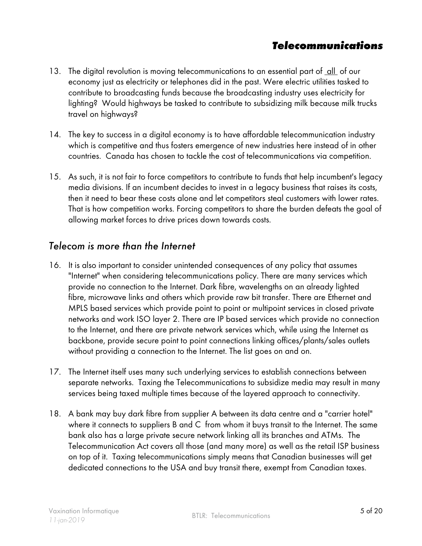#### **Telecommunications**

- <span id="page-4-0"></span>13. The digital revolution is moving telecommunications to an essential part of <u>all</u> of our economy just as electricity or telephones did in the past. Were electric utilities tasked to contribute to broadcasting funds because the broadcasting industry uses electricity for lighting? Would highways be tasked to contribute to subsidizing milk because milk trucks travel on highways?
- 14. The key to success in a digital economy is to have affordable telecommunication industry which is competitive and thus fosters emergence of new industries here instead of in other countries. Canada has chosen to tackle the cost of telecommunications via competition.
- 15. As such, it is not fair to force competitors to contribute to funds that help incumbent's legacy media divisions. If an incumbent decides to invest in a legacy business that raises its costs, then it need to bear these costs alone and let competitors steal customers with lower rates. That is how competition works. Forcing competitors to share the burden defeats the goal of allowing market forces to drive prices down towards costs.

#### Telecom is more than the Internet

- 16. It is also important to consider unintended consequences of any policy that assumes "Internet" when considering telecommunications policy. There are many services which provide no connection to the Internet. Dark fibre, wavelengths on an already lighted fibre, microwave links and others which provide raw bit transfer. There are Ethernet and MPLS based services which provide point to point or multipoint services in closed private networks and work ISO layer 2. There are IP based services which provide no connection to the Internet, and there are private network services which, while using the Internet as backbone, provide secure point to point connections linking offices/plants/sales outlets without providing a connection to the Internet. The list goes on and on.
- 17. The Internet itself uses many such underlying services to establish connections between separate networks. Taxing the Telecommunications to subsidize media may result in many services being taxed multiple times because of the layered approach to connectivity.
- 18. A bank may buy dark fibre from supplier A between its data centre and a "carrier hotel" where it connects to suppliers B and C from whom it buys transit to the Internet. The same bank also has a large private secure network linking all its branches and ATMs. The Telecommunication Act covers all those (and many more) as well as the retail ISP business on top of it. Taxing telecommunications simply means that Canadian businesses will get dedicated connections to the USA and buy transit there, exempt from Canadian taxes.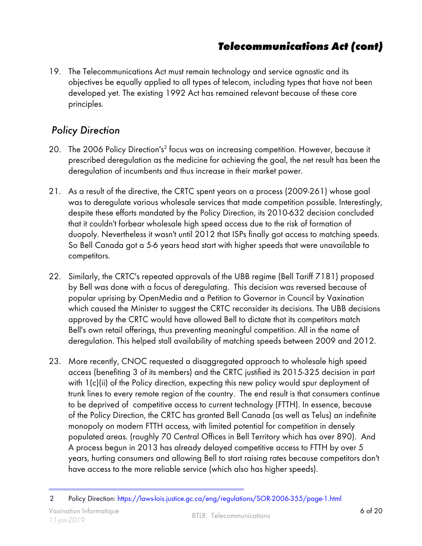<span id="page-5-0"></span>19. The Telecommunications Act must remain technology and service agnostic and its objectives be equally applied to all types of telecom, including types that have not been developed yet. The existing 1992 Act has remained relevant because of these core principles.

#### Policy Direction

- 20. The 2006 Policy Direction's<sup>2</sup> focus was on increasing competition. However, because it prescribed deregulation as the medicine for achieving the goal, the net result has been the deregulation of incumbents and thus increase in their market power.
- 21. As a result of the directive, the CRTC spent years on a process (2009-261) whose goal was to deregulate various wholesale services that made competition possible. Interestingly, despite these efforts mandated by the Policy Direction, its 2010-632 decision concluded that it couldn't forbear wholesale high speed access due to the risk of formation of duopoly. Nevertheless it wasn't until 2012 that ISPs finally got access to matching speeds. So Bell Canada got a 5-6 years head start with higher speeds that were unavailable to competitors.
- 22. Similarly, the CRTC's repeated approvals of the UBB regime (Bell Tariff 7181) proposed by Bell was done with a focus of deregulating. This decision was reversed because of popular uprising by OpenMedia and a Petition to Governor in Council by Vaxination which caused the Minister to suggest the CRTC reconsider its decisions. The UBB decisions approved by the CRTC would have allowed Bell to dictate that its competitors match Bell's own retail offerings, thus preventing meaningful competition. All in the name of deregulation. This helped stall availability of matching speeds between 2009 and 2012.
- 23. More recently, CNOC requested a disaggregated approach to wholesale high speed access (benefiting 3 of its members) and the CRTC justified its 2015-325 decision in part with 1(c)(ii) of the Policy direction, expecting this new policy would spur deployment of trunk lines to every remote region of the country. The end result is that consumers continue to be deprived of competitive access to current technology (FTTH). In essence, because of the Policy Direction, the CRTC has granted Bell Canada (as well as Telus) an indefinite monopoly on modern FTTH access, with limited potential for competition in densely populated areas. (roughly 70 Central Offices in Bell Territory which has over 890). And A process begun in 2013 has already delayed competitive access to FTTH by over 5 years, hurting consumers and allowing Bell to start raising rates because competitors don't have access to the more reliable service (which also has higher speeds).

<sup>2</sup> Policy Direction:<https://laws-lois.justice.gc.ca/eng/regulations/SOR-2006-355/page-1.html>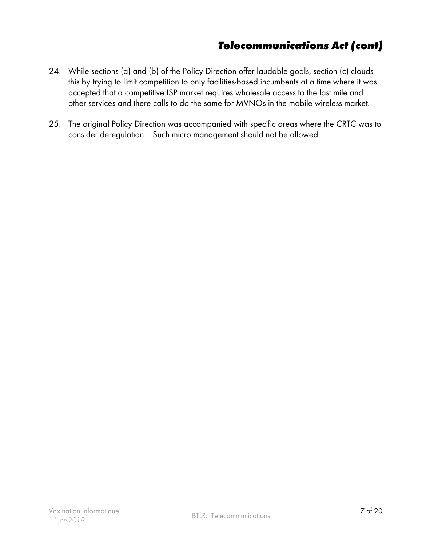- 24. While sections (a) and (b) of the Policy Direction offer laudable goals, section (c) clouds this by trying to limit competition to only facilities-based incumbents at a time where it was accepted that a competitive ISP market requires wholesale access to the last mile and other services and there calls to do the same for MVNOs in the mobile wireless market.
- 25. The original Policy Direction was accompanied with specific areas where the CRTC was to consider deregulation. Such micro management should not be allowed.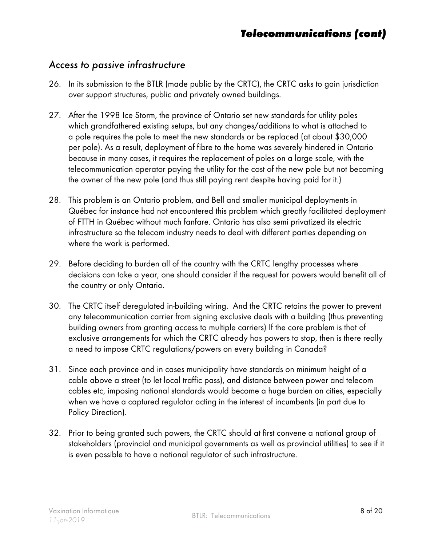#### <span id="page-7-0"></span>Access to passive infrastructure

- 26. In its submission to the BTLR (made public by the CRTC), the CRTC asks to gain jurisdiction over support structures, public and privately owned buildings.
- 27. After the 1998 Ice Storm, the province of Ontario set new standards for utility poles which grandfathered existing setups, but any changes/additions to what is attached to a pole requires the pole to meet the new standards or be replaced (at about \$30,000 per pole). As a result, deployment of fibre to the home was severely hindered in Ontario because in many cases, it requires the replacement of poles on a large scale, with the telecommunication operator paying the utility for the cost of the new pole but not becoming the owner of the new pole (and thus still paying rent despite having paid for it.)
- 28. This problem is an Ontario problem, and Bell and smaller municipal deployments in Québec for instance had not encountered this problem which greatly facilitated deployment of FTTH in Québec without much fanfare. Ontario has also semi privatized its electric infrastructure so the telecom industry needs to deal with different parties depending on where the work is performed.
- 29. Before deciding to burden all of the country with the CRTC lengthy processes where decisions can take a year, one should consider if the request for powers would benefit all of the country or only Ontario.
- 30. The CRTC itself deregulated in-building wiring. And the CRTC retains the power to prevent any telecommunication carrier from signing exclusive deals with a building (thus preventing building owners from granting access to multiple carriers) If the core problem is that of exclusive arrangements for which the CRTC already has powers to stop, then is there really a need to impose CRTC regulations/powers on every building in Canada?
- 31. Since each province and in cases municipality have standards on minimum height of a cable above a street (to let local traffic pass), and distance between power and telecom cables etc, imposing national standards would become a huge burden on cities, especially when we have a captured regulator acting in the interest of incumbents (in part due to Policy Direction).
- 32. Prior to being granted such powers, the CRTC should at first convene a national group of stakeholders (provincial and municipal governments as well as provincial utilities) to see if it is even possible to have a national regulator of such infrastructure.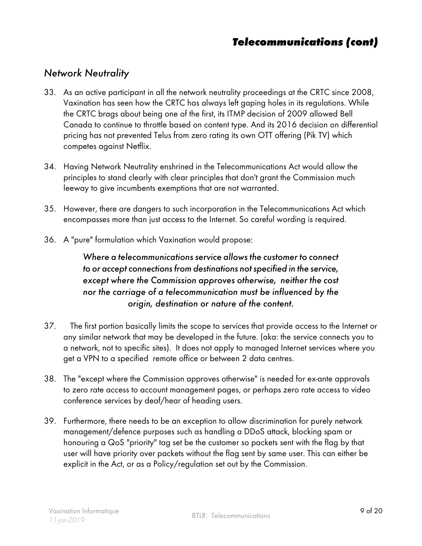#### <span id="page-8-0"></span>Network Neutrality

- 33. As an active participant in all the network neutrality proceedings at the CRTC since 2008, Vaxination has seen how the CRTC has always left gaping holes in its regulations. While the CRTC brags about being one of the first, its ITMP decision of 2009 allowed Bell Canada to continue to throttle based on content type. And its 2016 decision on differential pricing has not prevented Telus from zero rating its own OTT offering (Pik TV) which competes against Netflix.
- 34. Having Network Neutrality enshrined in the Telecommunications Act would allow the principles to stand clearly with clear principles that don't grant the Commission much leeway to give incumbents exemptions that are not warranted.
- 35. However, there are dangers to such incorporation in the Telecommunications Act which encompasses more than just access to the Internet. So careful wording is required.
- 36. A "pure" formulation which Vaxination would propose:

Where a telecommunications service allows the customer to connect to or accept connections from destinations not specified in the service, except where the Commission approves otherwise, neither the cost nor the carriage of a telecommunication must be influenced by the origin, destination or nature of the content.

- 37. The first portion basically limits the scope to services that provide access to the Internet or any similar network that may be developed in the future. (aka: the service connects you to a network, not to specific sites). It does not apply to managed Internet services where you get a VPN to a specified remote office or between 2 data centres.
- 38. The "except where the Commission approves otherwise" is needed for ex-ante approvals to zero rate access to account management pages, or perhaps zero rate access to video conference services by deaf/hear of heading users.
- 39. Furthermore, there needs to be an exception to allow discrimination for purely network management/defence purposes such as handling a DDoS attack, blocking spam or honouring a QoS "priority" tag set be the customer so packets sent with the flag by that user will have priority over packets without the flag sent by same user. This can either be explicit in the Act, or as a Policy/regulation set out by the Commission.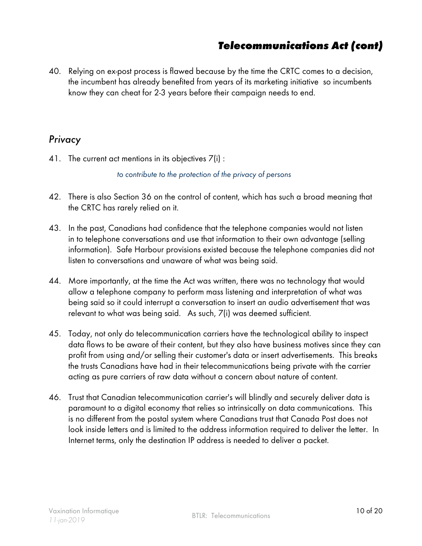<span id="page-9-0"></span>40. Relying on ex-post process is flawed because by the time the CRTC comes to a decision, the incumbent has already benefited from years of its marketing initiative so incumbents know they can cheat for 2-3 years before their campaign needs to end.

#### Privacy

41. The current act mentions in its objectives 7(i) :

to contribute to the protection of the privacy of persons

- 42. There is also Section 36 on the control of content, which has such a broad meaning that the CRTC has rarely relied on it.
- 43. In the past, Canadians had confidence that the telephone companies would not listen in to telephone conversations and use that information to their own advantage (selling information). Safe Harbour provisions existed because the telephone companies did not listen to conversations and unaware of what was being said.
- 44. More importantly, at the time the Act was written, there was no technology that would allow a telephone company to perform mass listening and interpretation of what was being said so it could interrupt a conversation to insert an audio advertisement that was relevant to what was being said. As such, 7(i) was deemed sufficient.
- 45. Today, not only do telecommunication carriers have the technological ability to inspect data flows to be aware of their content, but they also have business motives since they can profit from using and/or selling their customer's data or insert advertisements. This breaks the trusts Canadians have had in their telecommunications being private with the carrier acting as pure carriers of raw data without a concern about nature of content.
- 46. Trust that Canadian telecommunication carrier's will blindly and securely deliver data is paramount to a digital economy that relies so intrinsically on data communications. This is no different from the postal system where Canadians trust that Canada Post does not look inside letters and is limited to the address information required to deliver the letter. In Internet terms, only the destination IP address is needed to deliver a packet.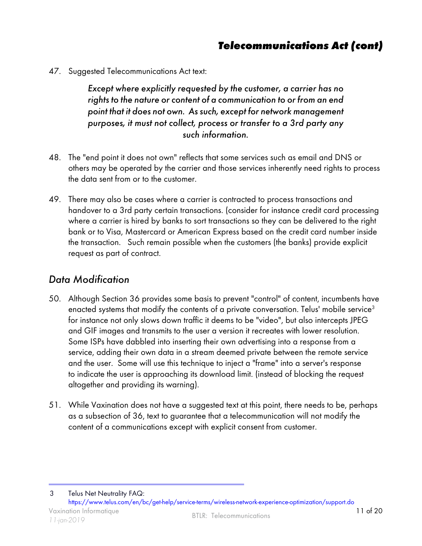<span id="page-10-0"></span>47. Suggested Telecommunications Act text:

Except where explicitly requested by the customer, a carrier has no rights to the nature or content of a communication to or from an end point that it does not own. As such, except for network management purposes, it must not collect, process or transfer to a 3rd party any such information.

- 48. The "end point it does not own" reflects that some services such as email and DNS or others may be operated by the carrier and those services inherently need rights to process the data sent from or to the customer.
- 49. There may also be cases where a carrier is contracted to process transactions and handover to a 3rd party certain transactions. (consider for instance credit card processing where a carrier is hired by banks to sort transactions so they can be delivered to the right bank or to Visa, Mastercard or American Express based on the credit card number inside the transaction. Such remain possible when the customers (the banks) provide explicit request as part of contract.

#### Data Modification

- 50. Although Section 36 provides some basis to prevent "control" of content, incumbents have enacted systems that modify the contents of a private conversation. Telus' mobile service<sup>3</sup> for instance not only slows down traffic it deems to be "video", but also intercepts JPEG and GIF images and transmits to the user a version it recreates with lower resolution. Some ISPs have dabbled into inserting their own advertising into a response from a service, adding their own data in a stream deemed private between the remote service and the user. Some will use this technique to inject a "frame" into a server's response to indicate the user is approaching its download limit. (instead of blocking the request altogether and providing its warning).
- 51. While Vaxination does not have a suggested text at this point, there needs to be, perhaps as a subsection of 36, text to guarantee that a telecommunication will not modify the content of a communications except with explicit consent from customer.

Vaxination Informatique 11 of 20 vaxination informatique<br>11-jan-2019 March 2019 3 Telus Net Neutrality FAQ: <https://www.telus.com/en/bc/get-help/service-terms/wireless-network-experience-optimization/support.do>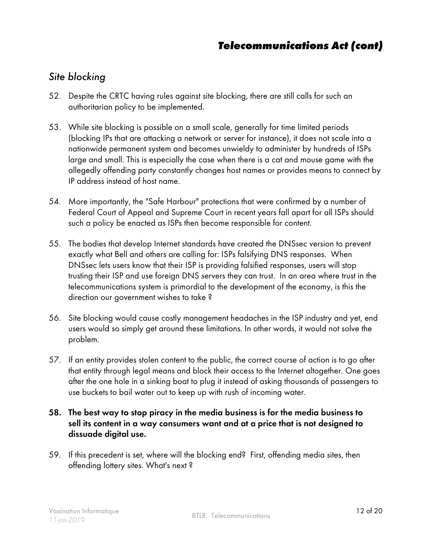#### <span id="page-11-0"></span>Site blocking

- 52. Despite the CRTC having rules against site blocking, there are still calls for such an authoritarian policy to be implemented.
- 53. While site blocking is possible on a small scale, generally for time limited periods (blocking IPs that are attacking a network or server for instance), it does not scale into a nationwide permanent system and becomes unwieldy to administer by hundreds of ISPs large and small. This is especially the case when there is a cat and mouse game with the allegedly offending party constantly changes host names or provides means to connect by IP address instead of host name.
- 54. More importantly, the "Safe Harbour" protections that were confirmed by a number of Federal Court of Appeal and Supreme Court in recent years fall apart for all ISPs should such a policy be enacted as ISPs then become responsible for content.
- 55. The bodies that develop Internet standards have created the DNSsec version to prevent exactly what Bell and others are calling for: ISPs falsifying DNS responses. When DNSsec lets users know that their ISP is providing falsified responses, users will stop trusting their ISP and use foreign DNS servers they can trust. In an area where trust in the telecommunications system is primordial to the development of the economy, is this the direction our government wishes to take ?
- 56. Site blocking would cause costly management headaches in the ISP industry and yet, end users would so simply get around these limitations. In other words, it would not solve the problem.
- 57. If an entity provides stolen content to the public, the correct course of action is to go after that entity through legal means and block their access to the Internet altogether. One goes after the one hole in a sinking boat to plug it instead of asking thousands of passengers to use buckets to bail water out to keep up with rush of incoming water.

#### 58. The best way to stop piracy in the media business is for the media business to sell its content in a way consumers want and at a price that is not designed to dissuade digital use.

59. If this precedent is set, where will the blocking end? First, offending media sites, then offending lottery sites. What's next ?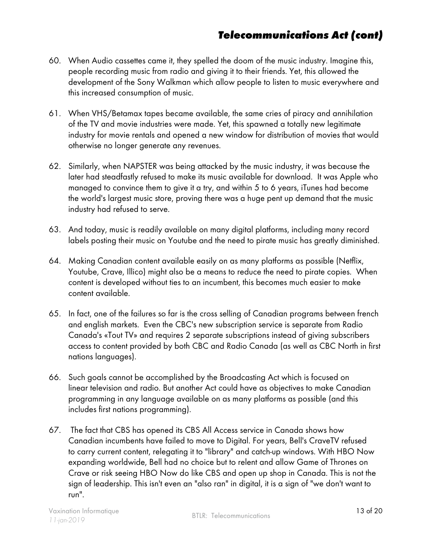- 60. When Audio cassettes came it, they spelled the doom of the music industry. Imagine this, people recording music from radio and giving it to their friends. Yet, this allowed the development of the Sony Walkman which allow people to listen to music everywhere and this increased consumption of music.
- 61. When VHS/Betamax tapes became available, the same cries of piracy and annihilation of the TV and movie industries were made. Yet, this spawned a totally new legitimate industry for movie rentals and opened a new window for distribution of movies that would otherwise no longer generate any revenues.
- 62. Similarly, when NAPSTER was being attacked by the music industry, it was because the later had steadfastly refused to make its music available for download. It was Apple who managed to convince them to give it a try, and within 5 to 6 years, iTunes had become the world's largest music store, proving there was a huge pent up demand that the music industry had refused to serve.
- 63. And today, music is readily available on many digital platforms, including many record labels posting their music on Youtube and the need to pirate music has greatly diminished.
- 64. Making Canadian content available easily on as many platforms as possible (Netflix, Youtube, Crave, Illico) might also be a means to reduce the need to pirate copies. When content is developed without ties to an incumbent, this becomes much easier to make content available.
- 65. In fact, one of the failures so far is the cross selling of Canadian programs between french and english markets. Even the CBC's new subscription service is separate from Radio Canada's «Tout TV» and requires 2 separate subscriptions instead of giving subscribers access to content provided by both CBC and Radio Canada (as well as CBC North in first nations languages).
- 66. Such goals cannot be accomplished by the Broadcasting Act which is focused on linear television and radio. But another Act could have as objectives to make Canadian programming in any language available on as many platforms as possible (and this includes first nations programming).
- 67. The fact that CBS has opened its CBS All Access service in Canada shows how Canadian incumbents have failed to move to Digital. For years, Bell's CraveTV refused to carry current content, relegating it to "library" and catch-up windows. With HBO Now expanding worldwide, Bell had no choice but to relent and allow Game of Thrones on Crave or risk seeing HBO Now do like CBS and open up shop in Canada. This is not the sign of leadership. This isn't even an "also ran" in digital, it is a sign of "we don't want to run".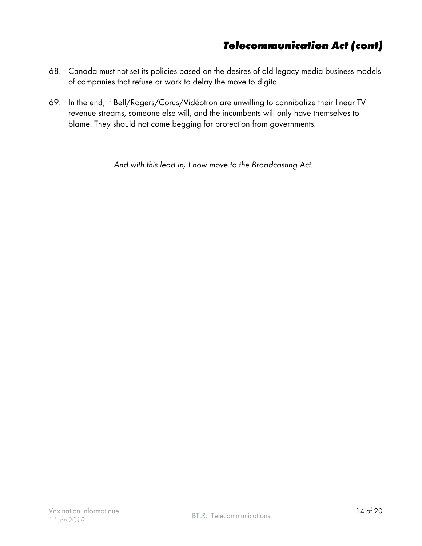- 68. Canada must not set its policies based on the desires of old legacy media business models of companies that refuse or work to delay the move to digital.
- 69. In the end, if Bell/Rogers/Corus/Vidéotron are unwilling to cannibalize their linear TV revenue streams, someone else will, and the incumbents will only have themselves to blame. They should not come begging for protection from governments.

And with this lead in, I now move to the Broadcasting Act...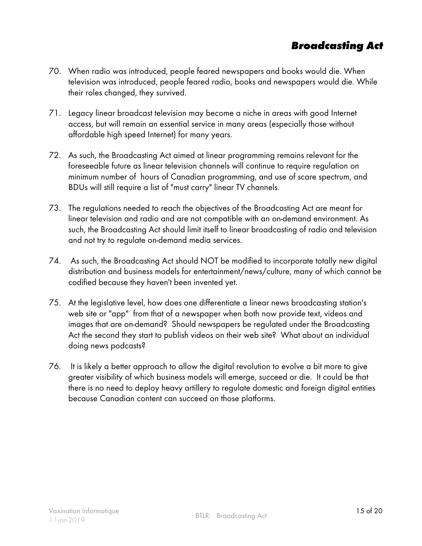## **Broadcasting Act**

- <span id="page-14-0"></span>70. When radio was introduced, people feared newspapers and books would die. When television was introduced, people feared radio, books and newspapers would die. While their roles changed, they survived.
- 71. Legacy linear broadcast television may become a niche in areas with good Internet access, but will remain an essential service in many areas (especially those without affordable high speed Internet) for many years.
- 72. As such, the Broadcasting Act aimed at linear programming remains relevant for the foreseeable future as linear television channels will continue to require regulation on minimum number of hours of Canadian programming, and use of scare spectrum, and BDUs will still require a list of "must carry" linear TV channels.
- 73. The regulations needed to reach the objectives of the Broadcasting Act are meant for linear television and radio and are not compatible with an on-demand environment. As such, the Broadcasting Act should limit itself to linear broadcasting of radio and television and not try to regulate on-demand media services.
- 74. As such, the Broadcasting Act should NOT be modified to incorporate totally new digital distribution and business models for entertainment/news/culture, many of which cannot be codified because they haven't been invented yet.
- 75. At the legislative level, how does one differentiate a linear news broadcasting station's web site or "app" from that of a newspaper when both now provide text, videos and images that are on-demand? Should newspapers be regulated under the Broadcasting Act the second they start to publish videos on their web site? What about an individual doing news podcasts?
- 76. It is likely a better approach to allow the digital revolution to evolve a bit more to give greater visibility of which business models will emerge, succeed or die. It could be that there is no need to deploy heavy artillery to regulate domestic and foreign digital entities because Canadian content can succeed on those platforms.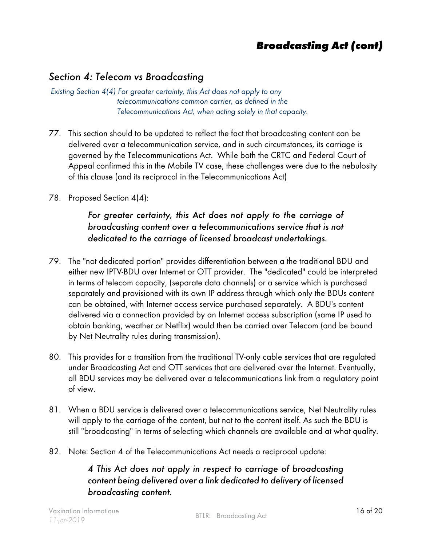#### **Broadcasting Act (cont)**

#### <span id="page-15-0"></span>Section 4: Telecom vs Broadcasting

Existing Section 4(4) For greater certainty, this Act does not apply to any telecommunications common carrier, as defined in the Telecommunications Act, when acting solely in that capacity.

- 77. This section should to be updated to reflect the fact that broadcasting content can be delivered over a telecommunication service, and in such circumstances, its carriage is governed by the Telecommunications Act. While both the CRTC and Federal Court of Appeal confirmed this in the Mobile TV case, these challenges were due to the nebulosity of this clause (and its reciprocal in the Telecommunications Act)
- 78. Proposed Section 4(4):

#### For greater certainty, this Act does not apply to the carriage of broadcasting content over a telecommunications service that is not dedicated to the carriage of licensed broadcast undertakings.

- 79. The "not dedicated portion" provides differentiation between a the traditional BDU and either new IPTV-BDU over Internet or OTT provider. The "dedicated" could be interpreted in terms of telecom capacity, (separate data channels) or a service which is purchased separately and provisioned with its own IP address through which only the BDUs content can be obtained, with Internet access service purchased separately. A BDU's content delivered via a connection provided by an Internet access subscription (same IP used to obtain banking, weather or Netflix) would then be carried over Telecom (and be bound by Net Neutrality rules during transmission).
- 80. This provides for a transition from the traditional TV-only cable services that are regulated under Broadcasting Act and OTT services that are delivered over the Internet. Eventually, all BDU services may be delivered over a telecommunications link from a regulatory point of view.
- 81. When a BDU service is delivered over a telecommunications service, Net Neutrality rules will apply to the carriage of the content, but not to the content itself. As such the BDU is still "broadcasting" in terms of selecting which channels are available and at what quality.
- 82. Note: Section 4 of the Telecommunications Act needs a reciprocal update:

#### 4 This Act does not apply in respect to carriage of broadcasting content being delivered over a link dedicated to delivery of licensed broadcasting content.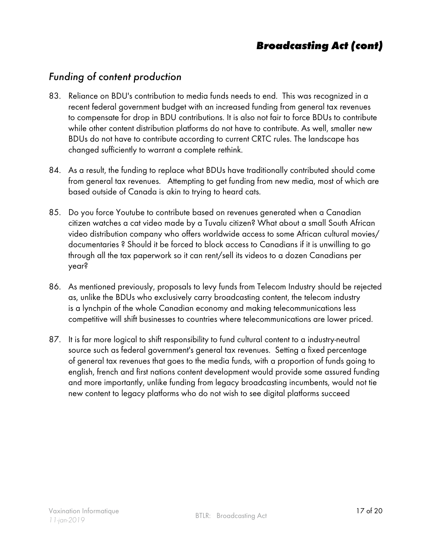#### **Broadcasting Act (cont)**

#### <span id="page-16-0"></span>Funding of content production

- 83. Reliance on BDU's contribution to media funds needs to end. This was recognized in a recent federal government budget with an increased funding from general tax revenues to compensate for drop in BDU contributions. It is also not fair to force BDUs to contribute while other content distribution platforms do not have to contribute. As well, smaller new BDUs do not have to contribute according to current CRTC rules. The landscape has changed sufficiently to warrant a complete rethink.
- 84. As a result, the funding to replace what BDUs have traditionally contributed should come from general tax revenues. Attempting to get funding from new media, most of which are based outside of Canada is akin to trying to heard cats.
- 85. Do you force Youtube to contribute based on revenues generated when a Canadian citizen watches a cat video made by a Tuvalu citizen? What about a small South African video distribution company who offers worldwide access to some African cultural movies/ documentaries ? Should it be forced to block access to Canadians if it is unwilling to go through all the tax paperwork so it can rent/sell its videos to a dozen Canadians per year?
- 86. As mentioned previously, proposals to levy funds from Telecom Industry should be rejected as, unlike the BDUs who exclusively carry broadcasting content, the telecom industry is a lynchpin of the whole Canadian economy and making telecommunications less competitive will shift businesses to countries where telecommunications are lower priced.
- 87. It is far more logical to shift responsibility to fund cultural content to a industry-neutral source such as federal government's general tax revenues. Setting a fixed percentage of general tax revenues that goes to the media funds, with a proportion of funds going to english, french and first nations content development would provide some assured funding and more importantly, unlike funding from legacy broadcasting incumbents, would not tie new content to legacy platforms who do not wish to see digital platforms succeed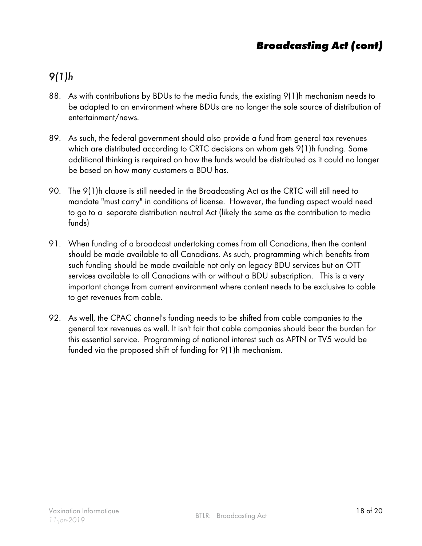## **Broadcasting Act (cont)**

## <span id="page-17-0"></span>9(1)h

- 88. As with contributions by BDUs to the media funds, the existing 9(1)h mechanism needs to be adapted to an environment where BDUs are no longer the sole source of distribution of entertainment/news.
- 89. As such, the federal government should also provide a fund from general tax revenues which are distributed according to CRTC decisions on whom gets 9(1)h funding. Some additional thinking is required on how the funds would be distributed as it could no longer be based on how many customers a BDU has.
- 90. The 9(1)h clause is still needed in the Broadcasting Act as the CRTC will still need to mandate "must carry" in conditions of license. However, the funding aspect would need to go to a separate distribution neutral Act (likely the same as the contribution to media funds)
- 91. When funding of a broadcast undertaking comes from all Canadians, then the content should be made available to all Canadians. As such, programming which benefits from such funding should be made available not only on legacy BDU services but on OTT services available to all Canadians with or without a BDU subscription. This is a very important change from current environment where content needs to be exclusive to cable to get revenues from cable.
- 92. As well, the CPAC channel's funding needs to be shifted from cable companies to the general tax revenues as well. It isn't fair that cable companies should bear the burden for this essential service. Programming of national interest such as APTN or TV5 would be funded via the proposed shift of funding for 9(1)h mechanism.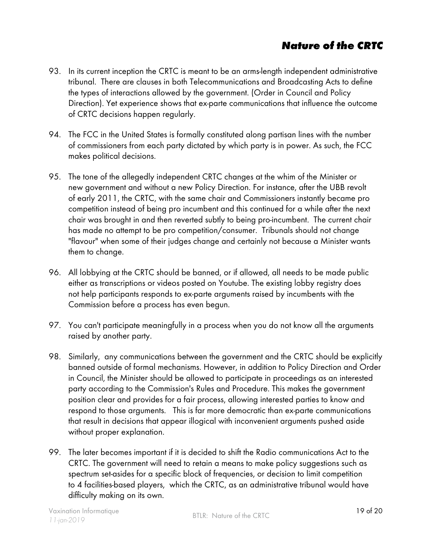## **Nature of the CRTC**

- <span id="page-18-0"></span>93. In its current inception the CRTC is meant to be an arms-length independent administrative tribunal. There are clauses in both Telecommunications and Broadcasting Acts to define the types of interactions allowed by the government. (Order in Council and Policy Direction). Yet experience shows that ex-parte communications that influence the outcome of CRTC decisions happen regularly.
- 94. The FCC in the United States is formally constituted along partisan lines with the number of commissioners from each party dictated by which party is in power. As such, the FCC makes political decisions.
- 95. The tone of the allegedly independent CRTC changes at the whim of the Minister or new government and without a new Policy Direction. For instance, after the UBB revolt of early 2011, the CRTC, with the same chair and Commissioners instantly became pro competition instead of being pro incumbent and this continued for a while after the next chair was brought in and then reverted subtly to being pro-incumbent. The current chair has made no attempt to be pro competition/consumer. Tribunals should not change "flavour" when some of their judges change and certainly not because a Minister wants them to change.
- 96. All lobbying at the CRTC should be banned, or if allowed, all needs to be made public either as transcriptions or videos posted on Youtube. The existing lobby registry does not help participants responds to ex-parte arguments raised by incumbents with the Commission before a process has even begun.
- 97. You can't participate meaningfully in a process when you do not know all the arguments raised by another party.
- 98. Similarly, any communications between the government and the CRTC should be explicitly banned outside of formal mechanisms. However, in addition to Policy Direction and Order in Council, the Minister should be allowed to participate in proceedings as an interested party according to the Commission's Rules and Procedure. This makes the government position clear and provides for a fair process, allowing interested parties to know and respond to those arguments. This is far more democratic than ex-parte communications that result in decisions that appear illogical with inconvenient arguments pushed aside without proper explanation.
- 99. The later becomes important if it is decided to shift the Radio communications Act to the CRTC. The government will need to retain a means to make policy suggestions such as spectrum set-asides for a specific block of frequencies, or decision to limit competition to 4 facilities-based players, which the CRTC, as an administrative tribunal would have difficulty making on its own.